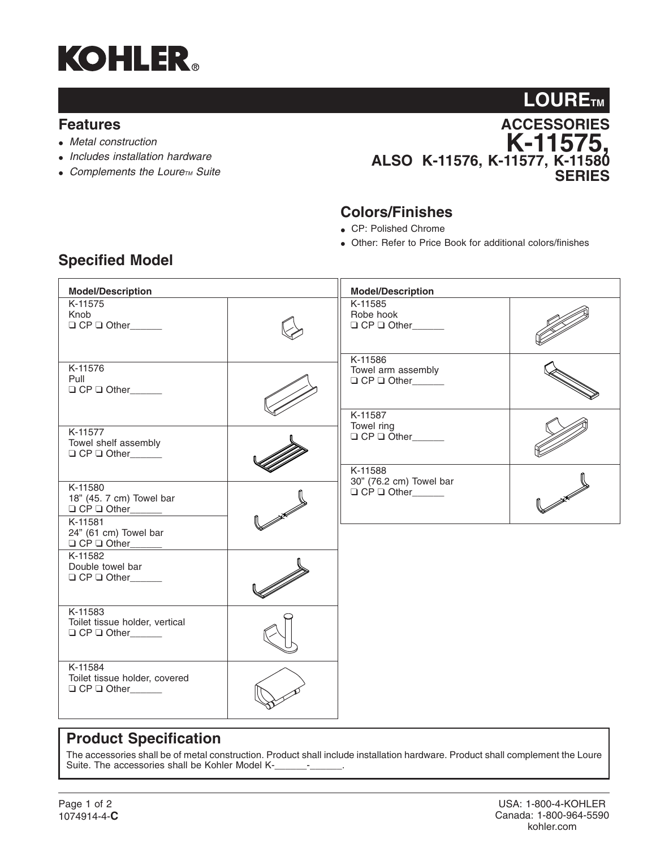

### **Features**

- *Metal construction*
- *Includes installation hardware*
- Complements the Loure<sub>TM</sub> Suite



### **Colors/Finishes**

- CP: Polished Chrome
- Other: Refer to Price Book for additional colors/finishes

| <b>Model/Description</b>                                                                                 |  | <b>Model/Description</b>                                           |  |
|----------------------------------------------------------------------------------------------------------|--|--------------------------------------------------------------------|--|
| K-11575<br>Knob<br>$\Box$ CP $\Box$ Other                                                                |  | K-11585<br>Robe hook<br>$\Box$ CP $\Box$ Other                     |  |
| K-11576<br>Pull<br>$\Box$ CP $\Box$ Other                                                                |  | K-11586<br>Towel arm assembly                                      |  |
| K-11577<br>Towel shelf assembly<br>$\Box$ CP $\Box$ Other                                                |  | K-11587<br>Towel ring<br>$\Box$ CP $\Box$ Other                    |  |
| K-11580<br>18" (45. 7 cm) Towel bar<br>K-11581                                                           |  | K-11588<br>30" (76.2 cm) Towel bar<br>$\Box$ CP $\Box$ Other______ |  |
| 24" (61 cm) Towel bar<br>$\Box$ CP $\Box$ Other<br>K-11582<br>Double towel bar<br>$\Box$ CP $\Box$ Other |  |                                                                    |  |
| K-11583<br>Toilet tissue holder, vertical                                                                |  |                                                                    |  |
| K-11584<br>Toilet tissue holder, covered<br>$\Box$ CP $\Box$ Other_______                                |  |                                                                    |  |

## **Specified Model**

## **Product Specification**

The accessories shall be of metal construction. Product shall include installation hardware. Product shall complement the Loure Suite. The accessories shall be Kohler Model K-\_\_\_\_\_\_-\_\_\_\_